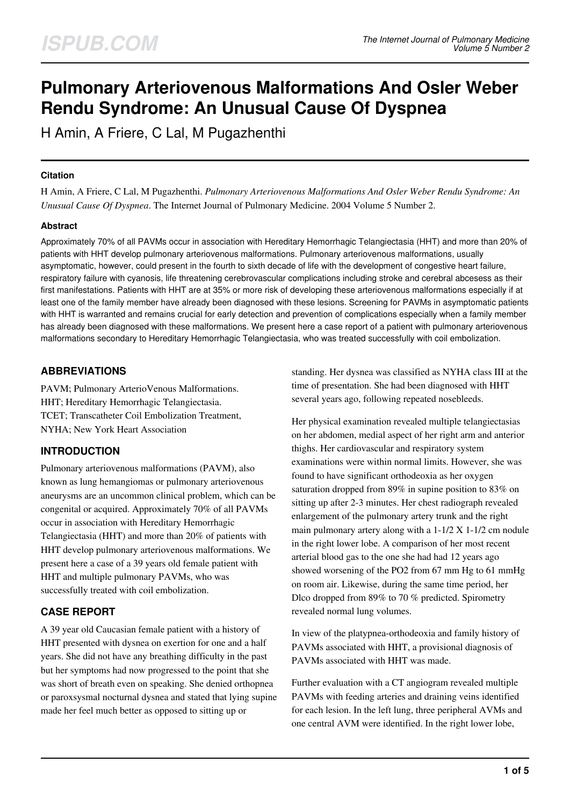# **Pulmonary Arteriovenous Malformations And Osler Weber Rendu Syndrome: An Unusual Cause Of Dyspnea**

H Amin, A Friere, C Lal, M Pugazhenthi

### **Citation**

H Amin, A Friere, C Lal, M Pugazhenthi. *Pulmonary Arteriovenous Malformations And Osler Weber Rendu Syndrome: An Unusual Cause Of Dyspnea*. The Internet Journal of Pulmonary Medicine. 2004 Volume 5 Number 2.

#### **Abstract**

Approximately 70% of all PAVMs occur in association with Hereditary Hemorrhagic Telangiectasia (HHT) and more than 20% of patients with HHT develop pulmonary arteriovenous malformations. Pulmonary arteriovenous malformations, usually asymptomatic, however, could present in the fourth to sixth decade of life with the development of congestive heart failure, respiratory failure with cyanosis, life threatening cerebrovascular complications including stroke and cerebral abcesess as their first manifestations. Patients with HHT are at 35% or more risk of developing these arteriovenous malformations especially if at least one of the family member have already been diagnosed with these lesions. Screening for PAVMs in asymptomatic patients with HHT is warranted and remains crucial for early detection and prevention of complications especially when a family member has already been diagnosed with these malformations. We present here a case report of a patient with pulmonary arteriovenous malformations secondary to Hereditary Hemorrhagic Telangiectasia, who was treated successfully with coil embolization.

# **ABBREVIATIONS**

PAVM; Pulmonary ArterioVenous Malformations. HHT; Hereditary Hemorrhagic Telangiectasia. TCET; Transcatheter Coil Embolization Treatment, NYHA; New York Heart Association

# **INTRODUCTION**

Pulmonary arteriovenous malformations (PAVM), also known as lung hemangiomas or pulmonary arteriovenous aneurysms are an uncommon clinical problem, which can be congenital or acquired. Approximately 70% of all PAVMs occur in association with Hereditary Hemorrhagic Telangiectasia (HHT) and more than 20% of patients with HHT develop pulmonary arteriovenous malformations. We present here a case of a 39 years old female patient with HHT and multiple pulmonary PAVMs, who was successfully treated with coil embolization.

# **CASE REPORT**

A 39 year old Caucasian female patient with a history of HHT presented with dysnea on exertion for one and a half years. She did not have any breathing difficulty in the past but her symptoms had now progressed to the point that she was short of breath even on speaking. She denied orthopnea or paroxsysmal nocturnal dysnea and stated that lying supine made her feel much better as opposed to sitting up or

standing. Her dysnea was classified as NYHA class III at the time of presentation. She had been diagnosed with HHT several years ago, following repeated nosebleeds.

Her physical examination revealed multiple telangiectasias on her abdomen, medial aspect of her right arm and anterior thighs. Her cardiovascular and respiratory system examinations were within normal limits. However, she was found to have significant orthodeoxia as her oxygen saturation dropped from 89% in supine position to 83% on sitting up after 2-3 minutes. Her chest radiograph revealed enlargement of the pulmonary artery trunk and the right main pulmonary artery along with a 1-1/2 X 1-1/2 cm nodule in the right lower lobe. A comparison of her most recent arterial blood gas to the one she had had 12 years ago showed worsening of the PO2 from 67 mm Hg to 61 mmHg on room air. Likewise, during the same time period, her Dlco dropped from 89% to 70 % predicted. Spirometry revealed normal lung volumes.

In view of the platypnea-orthodeoxia and family history of PAVMs associated with HHT, a provisional diagnosis of PAVMs associated with HHT was made.

Further evaluation with a CT angiogram revealed multiple PAVMs with feeding arteries and draining veins identified for each lesion. In the left lung, three peripheral AVMs and one central AVM were identified. In the right lower lobe,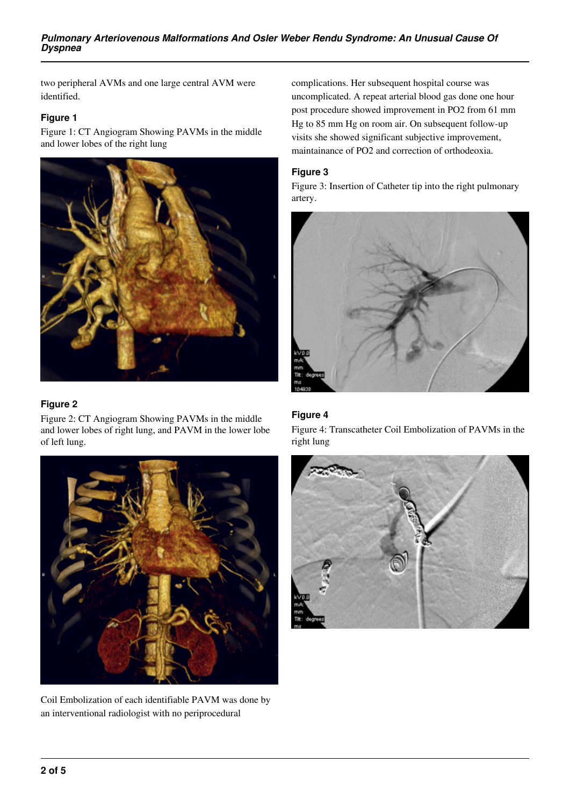two peripheral AVMs and one large central AVM were identified.

## **Figure 1**

Figure 1: CT Angiogram Showing PAVMs in the middle and lower lobes of the right lung



#### **Figure 2**

Figure 2: CT Angiogram Showing PAVMs in the middle and lower lobes of right lung, and PAVM in the lower lobe of left lung.



Coil Embolization of each identifiable PAVM was done by an interventional radiologist with no periprocedural

complications. Her subsequent hospital course was uncomplicated. A repeat arterial blood gas done one hour post procedure showed improvement in PO2 from 61 mm Hg to 85 mm Hg on room air. On subsequent follow-up visits she showed significant subjective improvement, maintainance of PO2 and correction of orthodeoxia.

## **Figure 3**

Figure 3: Insertion of Catheter tip into the right pulmonary artery.



## **Figure 4**

Figure 4: Transcatheter Coil Embolization of PAVMs in the right lung

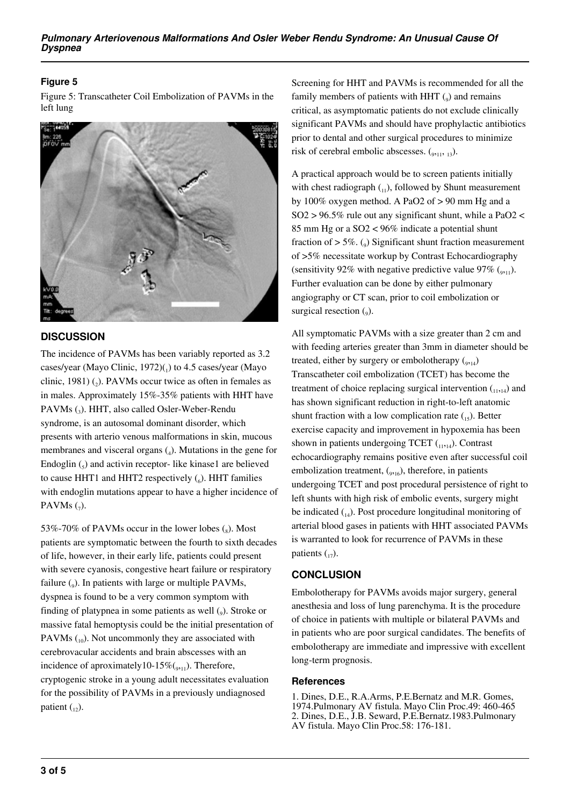## **Figure 5**

Figure 5: Transcatheter Coil Embolization of PAVMs in the left lung



## **DISCUSSION**

The incidence of PAVMs has been variably reported as 3.2 cases/year (Mayo Clinic, 1972)(1) to 4.5 cases/year (Mayo clinic, 1981)  $(_{2})$ . PAVMs occur twice as often in females as in males. Approximately 15%-35% patients with HHT have PAVMs (<sup>3</sup> ). HHT, also called Osler-Weber-Rendu syndrome, is an autosomal dominant disorder, which presents with arterio venous malformations in skin, mucous membranes and visceral organs  $(_4)$ . Mutations in the gene for Endoglin  $\binom{1}{5}$  and activin receptor-like kinase1 are believed to cause HHT1 and HHT2 respectively  $(_{6})$ . HHT families with endoglin mutations appear to have a higher incidence of PAVMs $(7)$ .

53%-70% of PAVMs occur in the lower lobes  $\binom{8}{8}$ . Most patients are symptomatic between the fourth to sixth decades of life, however, in their early life, patients could present with severe cyanosis, congestive heart failure or respiratory failure (<sub>9</sub>). In patients with large or multiple PAVMs, dyspnea is found to be a very common symptom with finding of platypnea in some patients as well (9). Stroke or massive fatal hemoptysis could be the initial presentation of PAVMs  $_{10}$ ). Not uncommonly they are associated with cerebrovacular accidents and brain abscesses with an incidence of aproximately 10-15% $(0, 1)$ . Therefore, cryptogenic stroke in a young adult necessitates evaluation for the possibility of PAVMs in a previously undiagnosed patient  $\binom{1}{12}$ .

Screening for HHT and PAVMs is recommended for all the family members of patients with HHT  $(_{9})$  and remains critical, as asymptomatic patients do not exclude clinically significant PAVMs and should have prophylactic antibiotics prior to dental and other surgical procedures to minimize risk of cerebral embolic abscesses.  $(_{9,11}, 13)$ .

A practical approach would be to screen patients initially with chest radiograph  $_{(11)}$ , followed by Shunt measurement by 100% oxygen method. A PaO2 of > 90 mm Hg and a  $SO2 > 96.5\%$  rule out any significant shunt, while a PaO2 < 85 mm Hg or a SO2 < 96% indicate a potential shunt fraction of  $> 5\%$ . (<sub>9</sub>) Significant shunt fraction measurement of >5% necessitate workup by Contrast Echocardiography (sensitivity 92% with negative predictive value 97%  $(_{911})$ . Further evaluation can be done by either pulmonary angiography or CT scan, prior to coil embolization or surgical resection  $(_{9})$ .

All symptomatic PAVMs with a size greater than 2 cm and with feeding arteries greater than 3mm in diameter should be treated, either by surgery or embolotherapy  $(_{9,14})$ Transcatheter coil embolization (TCET) has become the treatment of choice replacing surgical intervention  $_{(1,1,14)}$  and has shown significant reduction in right-to-left anatomic shunt fraction with a low complication rate  $_{15}$ ). Better exercise capacity and improvement in hypoxemia has been shown in patients undergoing TCET  $_{(11,14)}$ . Contrast echocardiography remains positive even after successful coil embolization treatment,  $(_{9,16})$ , therefore, in patients undergoing TCET and post procedural persistence of right to left shunts with high risk of embolic events, surgery might be indicated  $_{14}$ ). Post procedure longitudinal monitoring of arterial blood gases in patients with HHT associated PAVMs is warranted to look for recurrence of PAVMs in these patients  $\binom{1}{17}$ .

## **CONCLUSION**

Embolotherapy for PAVMs avoids major surgery, general anesthesia and loss of lung parenchyma. It is the procedure of choice in patients with multiple or bilateral PAVMs and in patients who are poor surgical candidates. The benefits of embolotherapy are immediate and impressive with excellent long-term prognosis.

#### **References**

1. Dines, D.E., R.A.Arms, P.E.Bernatz and M.R. Gomes, 1974.Pulmonary AV fistula. Mayo Clin Proc.49: 460-465 2. Dines, D.E., J.B. Seward, P.E.Bernatz.1983.Pulmonary AV fistula. Mayo Clin Proc.58: 176-181.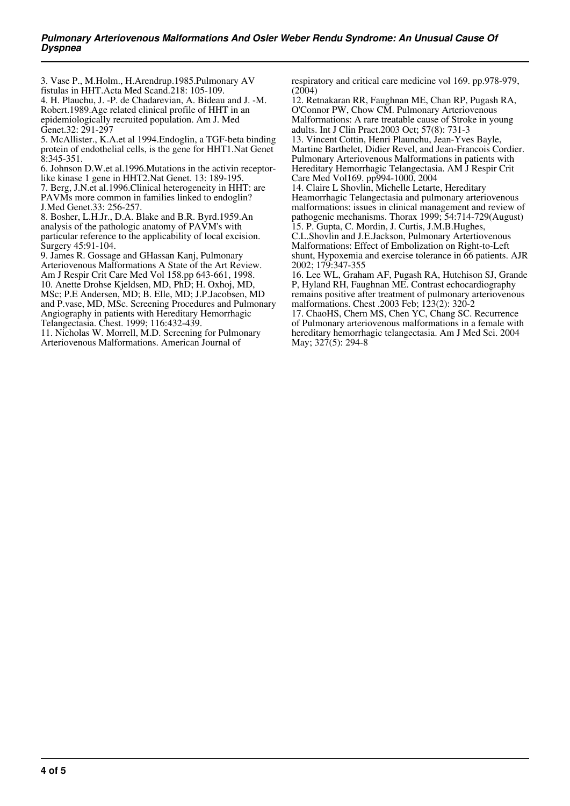3. Vase P., M.Holm., H.Arendrup.1985.Pulmonary AV fistulas in HHT.Acta Med Scand.218: 105-109. 4. H. Plauchu, J. -P. de Chadarevian, A. Bideau and J. -M. Robert.1989.Age related clinical profile of HHT in an epidemiologically recruited population. Am J. Med Genet.32: 291-297

5. McAllister., K.A.et al 1994.Endoglin, a TGF-beta binding protein of endothelial cells, is the gene for HHT1.Nat Genet  $8:345-351$ .

6. Johnson D.W.et al.1996.Mutations in the activin receptorlike kinase 1 gene in HHT2.Nat Genet. 13: 189-195. 7. Berg, J.N.et al.1996.Clinical heterogeneity in HHT: are PAVMs more common in families linked to endoglin?

J.Med Genet.33: 256-257. 8. Bosher, L.H.Jr., D.A. Blake and B.R. Byrd.1959.An analysis of the pathologic anatomy of PAVM's with particular reference to the applicability of local excision. Surgery 45:91-104.

9. James R. Gossage and GHassan Kanj, Pulmonary Arteriovenous Malformations A State of the Art Review. Am J Respir Crit Care Med Vol 158.pp 643-661, 1998. 10. Anette Drohse Kjeldsen, MD, PhD; H. Oxhoj, MD, MSc; P.E Andersen, MD; B. Elle, MD; J.P.Jacobsen, MD and P.vase, MD, MSc. Screening Procedures and Pulmonary Angiography in patients with Hereditary Hemorrhagic Telangectasia. Chest. 1999; 116:432-439.

11. Nicholas W. Morrell, M.D. Screening for Pulmonary Arteriovenous Malformations. American Journal of

respiratory and critical care medicine vol 169. pp.978-979,  $(2004)$ 

12. Retnakaran RR, Faughnan ME, Chan RP, Pugash RA, O'Connor PW, Chow CM. Pulmonary Arteriovenous Malformations: A rare treatable cause of Stroke in young adults. Int J Clin Pract.2003 Oct; 57(8): 731-3 13. Vincent Cottin, Henri Plaunchu, Jean-Yves Bayle, Martine Barthelet, Didier Revel, and Jean-Francois Cordier. Pulmonary Arteriovenous Malformations in patients with Hereditary Hemorrhagic Telangectasia. AM J Respir Crit Care Med Vol169. pp994-1000, 2004

14. Claire L Shovlin, Michelle Letarte, Hereditary Heamorrhagic Telangectasia and pulmonary arteriovenous malformations: issues in clinical management and review of pathogenic mechanisms. Thorax 1999; 54:714-729(August) 15. P. Gupta, C. Mordin, J. Curtis, J.M.B.Hughes,

C.L.Shovlin and J.E.Jackson, Pulmonary Artertiovenous Malformations: Effect of Embolization on Right-to-Left shunt, Hypoxemia and exercise tolerance in 66 patients. AJR 2002; 179:347-355

16. Lee WL, Graham AF, Pugash RA, Hutchison SJ, Grande P, Hyland RH, Faughnan ME. Contrast echocardiography remains positive after treatment of pulmonary arteriovenous malformations. Chest .2003 Feb; 123(2): 320-2

17. ChaoHS, Chern MS, Chen YC, Chang SC. Recurrence of Pulmonary arteriovenous malformations in a female with hereditary hemorrhagic telangectasia. Am J Med Sci. 2004 May; 327(5): 294-8